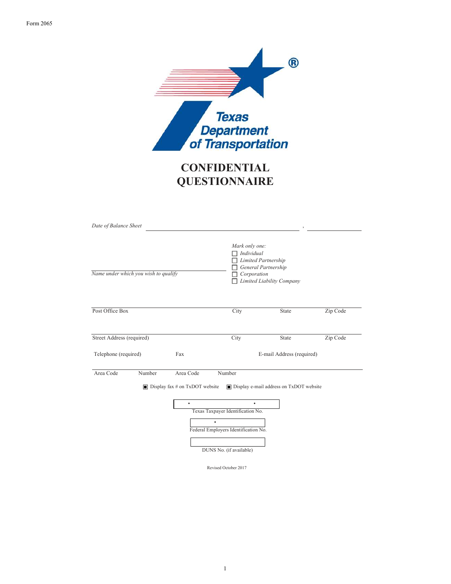

# **CONFIDENTIAL QUESTIONNAIRE**

| Date of Balance Sheet       |                                      |                                                                 |                                                                                                               |                                                                         |          |  |
|-----------------------------|--------------------------------------|-----------------------------------------------------------------|---------------------------------------------------------------------------------------------------------------|-------------------------------------------------------------------------|----------|--|
|                             | Name under which you wish to qualify |                                                                 | Mark only one:<br>Individual<br>□<br>Corporation                                                              | Limited Partnership<br>General Partnership<br>Limited Liability Company |          |  |
| Post Office Box             |                                      |                                                                 | City                                                                                                          | State                                                                   | Zip Code |  |
| Street Address (required)   |                                      |                                                                 | City                                                                                                          | State                                                                   | Zip Code |  |
| Telephone (required)<br>Fax |                                      |                                                                 | E-mail Address (required)                                                                                     |                                                                         |          |  |
| Area Code                   | Number                               | Area Code<br>$\Box$ Display fax # on TxDOT website<br>$\bullet$ | Number<br>$\bullet$<br>Texas Taxpayer Identification No.<br>$\bullet$<br>Federal Employers Identification No. | ■ Display e-mail address on TxDOT website                               |          |  |
|                             |                                      |                                                                 | DUNS No. (if available)<br>Revised October 2017                                                               |                                                                         |          |  |

1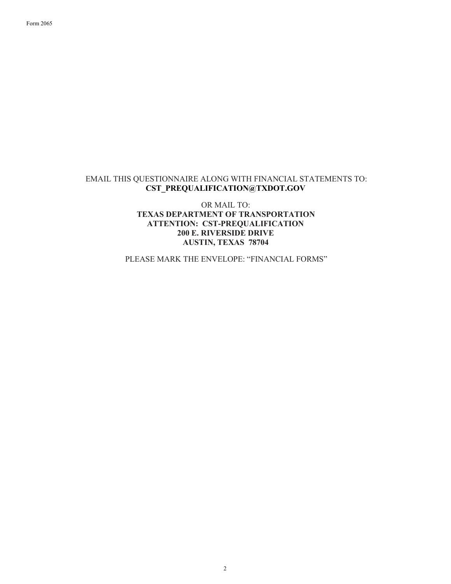### EMAIL THIS QUESTIONNAIRE ALONG WITH FINANCIAL STATEMENTS TO: CST\_PREQUALIFICATION@TXDOT.GOV

OR MAIL TO: TEXAS DEPARTMENT OF TRANSPORTATION ATTENTION: CST-PREQUALIFICATION 200 E. RIVERSIDE DRIVE AUSTIN, TEXAS 78704

PLEASE MARK THE ENVELOPE: "FINANCIAL FORMS"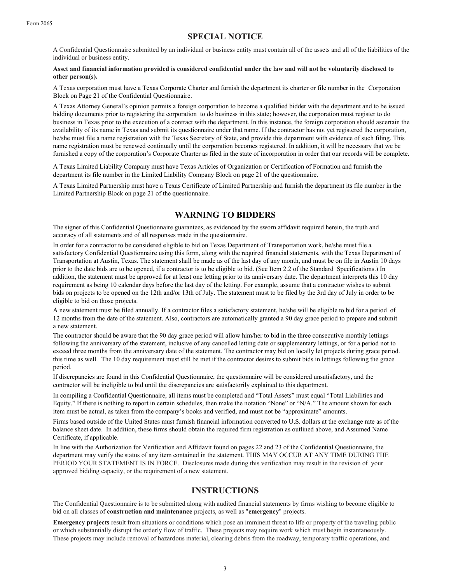# SPECIAL NOTICE

A Confidential Questionnaire submitted by an individual or business entity must contain all of the assets and all of the liabilities of the individual or business entity.

#### Asset and financial information provided is considered confidential under the law and will not be voluntarily disclosed to other person(s).

A Texas corporation must have a Texas Corporate Charter and furnish the department its charter or file number in the Corporation Block on Page 21 of the Confidential Questionnaire.

A Texas Attorney General's opinion permits a foreign corporation to become a qualified bidder with the department and to be issued bidding documents prior to registering the corporation to do business in this state; however, the corporation must register to do business in Texas prior to the execution of a contract with the department. In this instance, the foreign corporation should ascertain the availability of its name in Texas and submit its questionnaire under that name. If the contractor has not yet registered the corporation, he/she must file a name registration with the Texas Secretary of State, and provide this department with evidence of such filing. This name registration must be renewed continually until the corporation becomes registered. In addition, it will be necessary that we be furnished a copy of the corporation's Corporate Charter as filed in the state of incorporation in order that our records will be complete.

A Texas Limited Liability Company must have Texas Articles of Organization or Certification of Formation and furnish the department its file number in the Limited Liability Company Block on page 21 of the questionnaire.

A Texas Limited Partnership must have a Texas Certificate of Limited Partnership and furnish the department its file number in the Limited Partnership Block on page 21 of the questionnaire.

### WARNING TO BIDDERS

The signer of this Confidential Questionnaire guarantees, as evidenced by the sworn affidavit required herein, the truth and accuracy of all statements and of all responses made in the questionnaire.

In order for a contractor to be considered eligible to bid on Texas Department of Transportation work, he/she must file a satisfactory Confidential Questionnaire using this form, along with the required financial statements, with the Texas Department of Transportation at Austin, Texas. The statement shall be made as of the last day of any month, and must be on file in Austin 10 days prior to the date bids are to be opened, if a contractor is to be eligible to bid. (See Item 2.2 of the Standard Specifications.) In addition, the statement must be approved for at least one letting prior to its anniversary date. The department interprets this 10 day requirement as being 10 calendar days before the last day of the letting. For example, assume that a contractor wishes to submit bids on projects to be opened on the 12th and/or 13th of July. The statement must to be filed by the 3rd day of July in order to be eligible to bid on those projects.

A new statement must be filed annually. If a contractor files a satisfactory statement, he/she will be eligible to bid for a period of 12 months from the date of the statement. Also, contractors are automatically granted a 90 day grace period to prepare and submit a new statement.

The contractor should be aware that the 90 day grace period will allow him/her to bid in the three consecutive monthly lettings following the anniversary of the statement, inclusive of any cancelled letting date or supplementary lettings, or for a period not to exceed three months from the anniversary date of the statement. The contractor may bid on locally let projects during grace period. this time as well. The 10 day requirement must still be met if the contractor desires to submit bids in lettings following the grace period.

If discrepancies are found in this Confidential Questionnaire, the questionnaire will be considered unsatisfactory, and the contractor will be ineligible to bid until the discrepancies are satisfactorily explained to this department.

In compiling a Confidential Questionnaire, all items must be completed and "Total Assets" must equal "Total Liabilities and Equity." If there is nothing to report in certain schedules, then make the notation "None" or "N/A." The amount shown for each item must be actual, as taken from the company's books and verified, and must not be "approximate" amounts.

Firms based outside of the United States must furnish financial information converted to U.S. dollars at the exchange rate as of the balance sheet date. In addition, these firms should obtain the required firm registration as outlined above, and Assumed Name Certificate, if applicable.

In line with the Authorization for Verification and Affidavit found on pages 22 and 23 of the Confidential Questionnaire, the department may verify the status of any item contained in the statement. THIS MAY OCCUR AT ANY TIME DURING THE PERIOD YOUR STATEMENT IS IN FORCE. Disclosures made during this verification may result in the revision of your approved bidding capacity, or the requirement of a new statement.

### INSTRUCTIONS

The Confidential Questionnaire is to be submitted along with audited financial statements by firms wishing to become eligible to bid on all classes of construction and maintenance projects, as well as "emergency" projects.

Emergency projects result from situations or conditions which pose an imminent threat to life or property of the traveling public or which substantially disrupt the orderly flow of traffic. These projects may require work which must begin instantaneously. These projects may include removal of hazardous material, clearing debris from the roadway, temporary traffic operations, and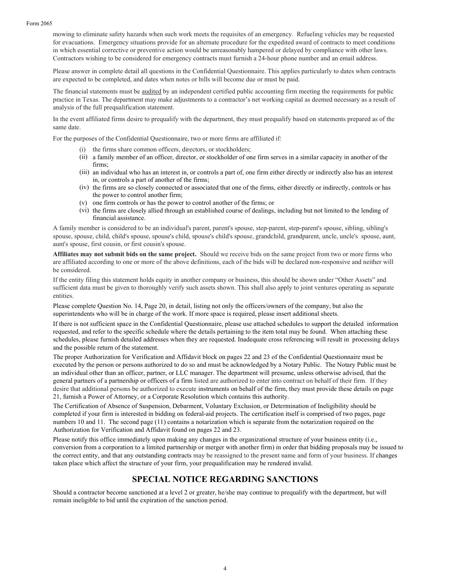mowing to eliminate safety hazards when such work meets the requisites of an emergency. Refueling vehicles may be requested for evacuations. Emergency situations provide for an alternate procedure for the expedited award of contracts to meet conditions in which essential corrective or preventive action would be unreasonably hampered or delayed by compliance with other laws. Contractors wishing to be considered for emergency contracts must furnish a 24-hour phone number and an email address.

Please answer in complete detail all questions in the Confidential Questionnaire. This applies particularly to dates when contracts are expected to be completed, and dates when notes or bills will become due or must be paid.

The financial statements must be audited by an independent certified public accounting firm meeting the requirements for public practice in Texas. The department may make adjustments to a contractor's net working capital as deemed necessary as a result of analysis of the full prequalification statement.

In the event affiliated firms desire to prequalify with the department, they must prequalify based on statements prepared as of the same date.

For the purposes of the Confidential Questionnaire, two or more firms are affiliated if:

- (i) the firms share common officers, directors, or stockholders;
- (ii) a family member of an officer, director, or stockholder of one firm serves in a similar capacity in another of the firms;
- (iii) an individual who has an interest in, or controls a part of, one firm either directly or indirectly also has an interest in, or controls a part of another of the firms;
- (iv) the firms are so closely connected or associated that one of the firms, either directly or indirectly, controls or has the power to control another firm;
- (v) one firm controls or has the power to control another of the firms; or
- (vi) the firms are closely allied through an established course of dealings, including but not limited to the lending of financial assistance.

A family member is considered to be an individual's parent, parent's spouse, step-parent, step-parent's spouse, sibling, sibling's spouse, spouse, child, child's spouse, spouse's child, spouse's child's spouse, grandchild, grandparent, uncle, uncle's spouse, aunt, aunt's spouse, first cousin, or first cousin's spouse.

Affiliates may not submit bids on the same project. Should we receive bids on the same project from two or more firms who are affiliated according to one or more of the above definitions, each of the bids will be declared non-responsive and neither will be considered.

If the entity filing this statement holds equity in another company or business, this should be shown under "Other Assets" and sufficient data must be given to thoroughly verify such assets shown. This shall also apply to joint ventures operating as separate entities.

Please complete Question No. 14, Page 20, in detail, listing not only the officers/owners of the company, but also the superintendents who will be in charge of the work. If more space is required, please insert additional sheets.

If there is not sufficient space in the Confidential Questionnaire, please use attached schedules to support the detailed information requested, and refer to the specific schedule where the details pertaining to the item total may be found. When attaching these schedules, please furnish detailed addresses when they are requested. Inadequate cross referencing will result in processing delays and the possible return of the statement.

The proper Authorization for Verification and Affidavit block on pages 22 and 23 of the Confidential Questionnaire must be executed by the person or persons authorized to do so and must be acknowledged by a Notary Public. The Notary Public must be an individual other than an officer, partner, or LLC manager. The department will presume, unless otherwise advised, that the general partners of a partnership or officers of a firm listed are authorized to enter into contract on behalf of their firm. If they desire that additional persons be authorized to execute instruments on behalf of the firm, they must provide these details on page 21, furnish a Power of Attorney, or a Corporate Resolution which contains this authority.

The Certification of Absence of Suspension, Debarment, Voluntary Exclusion, or Determination of Ineligibility should be completed if your firm is interested in bidding on federal-aid projects. The certification itself is comprised of two pages, page numbers 10 and 11. The second page (11) contains a notarization which is separate from the notarization required on the Authorization for Verification and Affidavit found on pages 22 and 23.

Please notify this office immediately upon making any changes in the organizational structure of your business entity (i.e., conversion from a corporation to a limited partnership or merger with another firm) in order that bidding proposals may be issued to the correct entity, and that any outstanding contracts may be reassigned to the present name and form of your business. If changes taken place which affect the structure of your firm, your prequalification may be rendered invalid.

### SPECIAL NOTICE REGARDING SANCTIONS

Should a contractor become sanctioned at a level 2 or greater, he/she may continue to prequalify with the department, but will remain ineligible to bid until the expiration of the sanction period.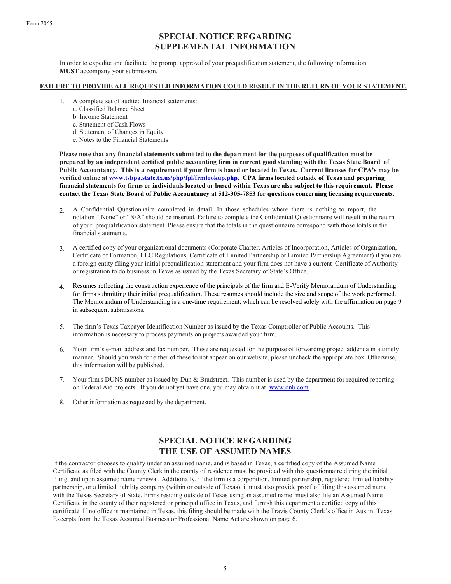Form 2065

# SPECIAL NOTICE REGARDING SUPPLEMENTAL INFORMATION

In order to expedite and facilitate the prompt approval of your prequalification statement, the following information MUST accompany your submission.

#### FAILURE TO PROVIDE ALL REQUESTED INFORMATION COULD RESULT IN THE RETURN OF YOUR STATEMENT.

- 1. A complete set of audited financial statements:
	- a. Classified Balance Sheet
	- b. Income Statement
	- c. Statement of Cash Flows
	- d. Statement of Changes in Equity
	- e. Notes to the Financial Statements

Please note that any financial statements submitted to the department for the purposes of qualification must be prepared by an independent certified public accounting firm in current good standing with the Texas State Board of Public Accountancy. This is a requirement if your firm is based or located in Texas. Current licenses for CPA's may be verified online at www.tsbpa.state.tx.us/php/fpl/frmlookup.php. CPA firms located outside of Texas and preparing financial statements for firms or individuals located or based within Texas are also subject to this requirement. Please contact the Texas State Board of Public Accountancy at 512-305-7853 for questions concerning licensing requirements.

- 2. A Confidential Questionnaire completed in detail. In those schedules where there is nothing to report, the notation "None" or "N/A" should be inserted. Failure to complete the Confidential Questionnaire will result in the return of your prequalification statement. Please ensure that the totals in the questionnaire correspond with those totals in the financial statements.
- 3. A certified copy of your organizational documents (Corporate Charter, Articles of Incorporation, Articles of Organization, Certificate of Formation, LLC Regulations, Certificate of Limited Partnership or Limited Partnership Agreement) if you are a foreign entity filing your initial prequalification statement and your firm does not have a current Certificate of Authority or registration to do business in Texas as issued by the Texas Secretary of State's Office.
- 4. Resumes reflecting the construction experience of the principals of the firm and E-Verify Memorandum of Understanding for firms submitting their initial prequalification. These resumes should include the size and scope of the work performed. The Memorandum of Understanding is a one-time requirement, which can be resolved solely with the affirmation on page 9 in subsequent submissions.
- 5. The firm's Texas Taxpayer Identification Number as issued by the Texas Comptroller of Public Accounts. This information is necessary to process payments on projects awarded your firm.
- 6. Your firm's e-mail address and fax number. These are requested for the purpose of forwarding project addenda in a timely manner. Should you wish for either of these to not appear on our website, please uncheck the appropriate box. Otherwise, this information will be published.
- 7. Your firm's DUNS number as issued by Dun & Bradstreet. This number is used by the department for required reporting on Federal Aid projects. If you do not yet have one, you may obtain it at www.dnb.com.
- 8. Other information as requested by the department.

# SPECIAL NOTICE REGARDING THE USE OF ASSUMED NAMES

If the contractor chooses to qualify under an assumed name, and is based in Texas, a certified copy of the Assumed Name Certificate as filed with the County Clerk in the county of residence must be provided with this questionnaire during the initial filing, and upon assumed name renewal. Additionally, if the firm is a corporation, limited partnership, registered limited liability partnership, or a limited liability company (within or outside of Texas), it must also provide proof of filing this assumed name with the Texas Secretary of State. Firms residing outside of Texas using an assumed name must also file an Assumed Name Certificate in the county of their registered or principal office in Texas, and furnish this department a certified copy of this certificate. If no office is maintained in Texas, this filing should be made with the Travis County Clerk's office in Austin, Texas. Excerpts from the Texas Assumed Business or Professional Name Act are shown on page 6.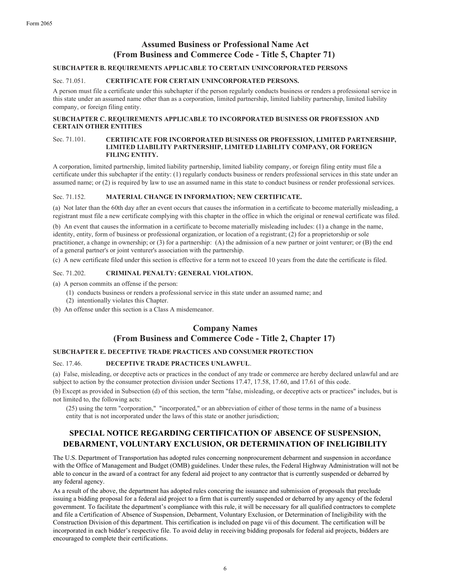# Assumed Business or Professional Name Act (From Business and Commerce Code - Title 5, Chapter 71)

#### SUBCHAPTER B. REQUIREMENTS APPLICABLE TO CERTAIN UNINCORPORATED PERSONS

#### Sec. 71.051. CERTIFICATE FOR CERTAIN UNINCORPORATED PERSONS.

A person must file a certificate under this subchapter if the person regularly conducts business or renders a professional service in this state under an assumed name other than as a corporation, limited partnership, limited liability partnership, limited liability company, or foreign filing entity.

#### SUBCHAPTER C. REQUIREMENTS APPLICABLE TO INCORPORATED BUSINESS OR PROFESSION AND CERTAIN OTHER ENTITIES

#### Sec. 71.101. CERTIFICATE FOR INCORPORATED BUSINESS OR PROFESSION, LIMITED PARTNERSHIP, LIMITED LIABILITY PARTNERSHIP, LIMITED LIABILITY COMPANY, OR FOREIGN FILING ENTITY.

A corporation, limited partnership, limited liability partnership, limited liability company, or foreign filing entity must file a certificate under this subchapter if the entity: (1) regularly conducts business or renders professional services in this state under an assumed name; or (2) is required by law to use an assumed name in this state to conduct business or render professional services.

#### Sec. 71.152. MATERIAL CHANGE IN INFORMATION; NEW CERTIFICATE.

(a) Not later than the 60th day after an event occurs that causes the information in a certificate to become materially misleading, a registrant must file a new certificate complying with this chapter in the office in which the original or renewal certificate was filed.

(b) An event that causes the information in a certificate to become materially misleading includes: (1) a change in the name, identity, entity, form of business or professional organization, or location of a registrant; (2) for a proprietorship or sole practitioner, a change in ownership; or (3) for a partnership: (A) the admission of a new partner or joint venturer; or (B) the end of a general partner's or joint venturer's association with the partnership.

(c) A new certificate filed under this section is effective for a term not to exceed 10 years from the date the certificate is filed.

#### Sec. 71.202. CRIMINAL PENALTY: GENERAL VIOLATION.

(a) A person commits an offense if the person:

- (1) conducts business or renders a professional service in this state under an assumed name; and
- (2) intentionally violates this Chapter.
- (b) An offense under this section is a Class A misdemeanor.

## Company Names (From Business and Commerce Code - Title 2, Chapter 17)

#### SUBCHAPTER E. DECEPTIVE TRADE PRACTICES AND CONSUMER PROTECTION

#### Sec. 17.46. DECEPTIVE TRADE PRACTICES UNLAWFUL.

(a) False, misleading, or deceptive acts or practices in the conduct of any trade or commerce are hereby declared unlawful and are subject to action by the consumer protection division under Sections 17.47, 17.58, 17.60, and 17.61 of this code.

(b) Except as provided in Subsection (d) of this section, the term "false, misleading, or deceptive acts or practices" includes, but is not limited to, the following acts:

(25) using the term "corporation," "incorporated," or an abbreviation of either of those terms in the name of a business entity that is not incorporated under the laws of this state or another jurisdiction;

# SPECIAL NOTICE REGARDING CERTIFICATION OF ABSENCE OF SUSPENSION, DEBARMENT, VOLUNTARY EXCLUSION, OR DETERMINATION OF INELIGIBILITY

The U.S. Department of Transportation has adopted rules concerning nonprocurement debarment and suspension in accordance with the Office of Management and Budget (OMB) guidelines. Under these rules, the Federal Highway Administration will not be able to concur in the award of a contract for any federal aid project to any contractor that is currently suspended or debarred by any federal agency.

As a result of the above, the department has adopted rules concering the issuance and submission of proposals that preclude issuing a bidding proposal for a federal aid project to a firm that is currently suspended or debarred by any agency of the federal government. To facilitate the department's compliance with this rule, it will be necessary for all qualified contractors to complete and file a Certification of Absence of Suspension, Debarment, Voluntary Exclusion, or Determination of Ineligibility with the Construction Division of this department. This certification is included on page vii of this document. The certification will be incorporated in each bidder's respective file. To avoid delay in receiving bidding proposals for federal aid projects, bidders are encouraged to complete their certifications.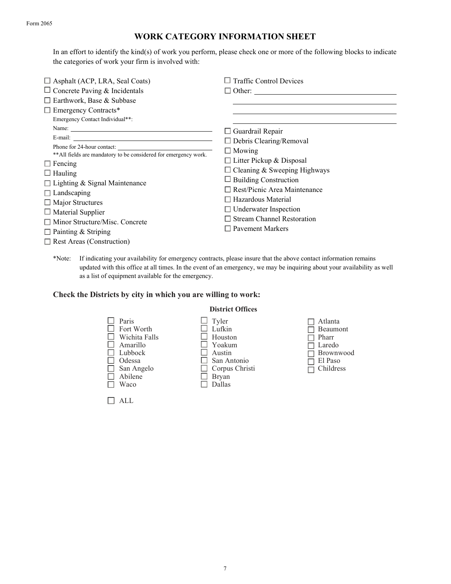#### Form 2065

# WORK CATEGORY INFORMATION SHEET

In an effort to identify the kind(s) of work you perform, please check one or more of the following blocks to indicate the categories of work your firm is involved with:

| $\Box$ Asphalt (ACP, LRA, Seal Coats)                                                                                                                                                                                                                                                                                          | <b>Traffic Control Devices</b>                                                                                                                                                                                                                                                              |
|--------------------------------------------------------------------------------------------------------------------------------------------------------------------------------------------------------------------------------------------------------------------------------------------------------------------------------|---------------------------------------------------------------------------------------------------------------------------------------------------------------------------------------------------------------------------------------------------------------------------------------------|
| $\Box$ Concrete Paving & Incidentals                                                                                                                                                                                                                                                                                           | $\Box$ Other:                                                                                                                                                                                                                                                                               |
| $\Box$ Earthwork, Base & Subbase                                                                                                                                                                                                                                                                                               |                                                                                                                                                                                                                                                                                             |
| $\Box$ Emergency Contracts*                                                                                                                                                                                                                                                                                                    |                                                                                                                                                                                                                                                                                             |
| Emergency Contact Individual**:                                                                                                                                                                                                                                                                                                |                                                                                                                                                                                                                                                                                             |
| Name:                                                                                                                                                                                                                                                                                                                          | $\Box$ Guardrail Repair                                                                                                                                                                                                                                                                     |
|                                                                                                                                                                                                                                                                                                                                | $\Box$ Debris Clearing/Removal                                                                                                                                                                                                                                                              |
| Phone for 24-hour contact:<br>** All fields are mandatory to be considered for emergency work.<br>$\Box$ Fencing<br>$\Box$ Hauling<br>$\Box$ Lighting & Signal Maintenance<br>$\Box$ Landscaping<br>$\Box$ Major Structures<br>$\Box$ Material Supplier<br>$\Box$ Minor Structure/Misc. Concrete<br>$\Box$ Painting & Striping | $\Box$ Mowing<br>$\Box$ Litter Pickup & Disposal<br>$\Box$ Cleaning & Sweeping Highways<br>$\Box$ Building Construction<br>$\Box$ Rest/Picnic Area Maintenance<br>$\Box$ Hazardous Material<br>$\Box$ Underwater Inspection<br><b>Stream Channel Restoration</b><br><b>Pavement Markers</b> |
| $\Box$ Rest Areas (Construction)                                                                                                                                                                                                                                                                                               |                                                                                                                                                                                                                                                                                             |

\*Note: If indicating your availability for emergency contracts, please insure that the above contact information remains updated with this office at all times. In the event of an emergency, we may be inquiring about your availability as well as a list of equipment available for the emergency.

### Check the Districts by city in which you are willing to work:

ALL



### District Offices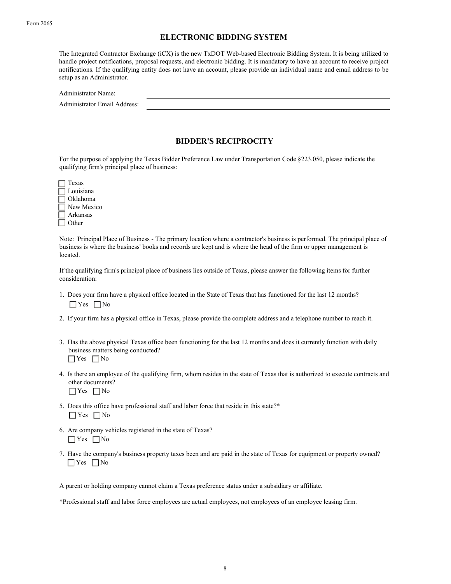### ELECTRONIC BIDDING SYSTEM

The Integrated Contractor Exchange (iCX) is the new TxDOT Web-based Electronic Bidding System. It is being utilized to handle project notifications, proposal requests, and electronic bidding. It is mandatory to have an account to receive project notifications. If the qualifying entity does not have an account, please provide an individual name and email address to be setup as an Administrator.

| Administrator Name:          |  |
|------------------------------|--|
| Administrator Email Address: |  |

### BIDDER'S RECIPROCITY

For the purpose of applying the Texas Bidder Preference Law under Transportation Code §223.050, please indicate the qualifying firm's principal place of business:

| Texas      |
|------------|
| Louisiana  |
| Oklahoma   |
| New Mexico |
| Arkansas   |
| Other      |

Note: Principal Place of Business - The primary location where a contractor's business is performed. The principal place of business is where the business' books and records are kept and is where the head of the firm or upper management is located.

If the qualifying firm's principal place of business lies outside of Texas, please answer the following items for further consideration:

- 1. Does your firm have a physical office located in the State of Texas that has functioned for the last 12 months?  $\Box$  Yes  $\Box$  No
- 2. If your firm has a physical office in Texas, please provide the complete address and a telephone number to reach it.
- 3. Has the above physical Texas office been functioning for the last 12 months and does it currently function with daily business matters being conducted?  $\Box$  Yes  $\Box$  No
- 4. Is there an employee of the qualifying firm, whom resides in the state of Texas that is authorized to execute contracts and other documents?  $\Box$  Yes  $\Box$  No
	-
- 5. Does this office have professional staff and labor force that reside in this state?\*  $\Box$  Yes  $\Box$  No
- 6. Are company vehicles registered in the state of Texas?  $\Box$  Yes  $\Box$  No
- 7. Have the company's business property taxes been and are paid in the state of Texas for equipment or property owned? Yes  $\Box$  No

A parent or holding company cannot claim a Texas preference status under a subsidiary or affiliate.

\*Professional staff and labor force employees are actual employees, not employees of an employee leasing firm.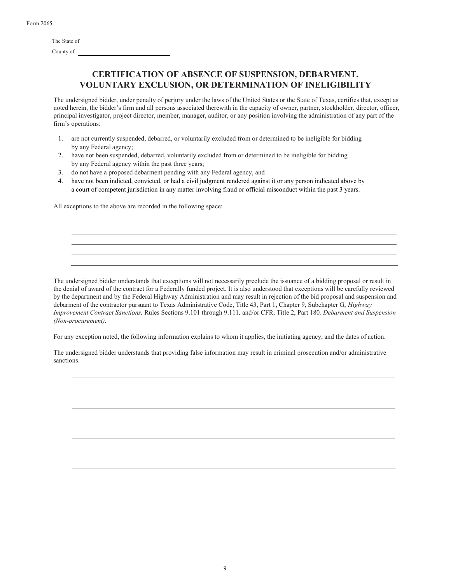| Form 2065 |  |
|-----------|--|
|-----------|--|

| The State of |  |
|--------------|--|
| County of    |  |

# CERTIFICATION OF ABSENCE OF SUSPENSION, DEBARMENT, VOLUNTARY EXCLUSION, OR DETERMINATION OF INELIGIBILITY

The undersigned bidder, under penalty of perjury under the laws of the United States or the State of Texas, certifies that, except as noted herein, the bidder's firm and all persons associated therewith in the capacity of owner, partner, stockholder, director, officer, principal investigator, project director, member, manager, auditor, or any position involving the administration of any part of the firm's operations:

- 1. are not currently suspended, debarred, or voluntarily excluded from or determined to be ineligible for bidding by any Federal agency;
- 2. have not been suspended, debarred, voluntarily excluded from or determined to be ineligible for bidding by any Federal agency within the past three years;
- 3. do not have a proposed debarment pending with any Federal agency, and
- 4. have not been indicted, convicted, or had a civil judgment rendered against it or any person indicated above by a court of competent jurisdiction in any matter involving fraud or official misconduct within the past 3 years.

All exceptions to the above are recorded in the following space:

The undersigned bidder understands that exceptions will not necessarily preclude the issuance of a bidding proposal or result in the denial of award of the contract for a Federally funded project. It is also understood that exceptions will be carefully reviewed by the department and by the Federal Highway Administration and may result in rejection of the bid proposal and suspension and debarment of the contractor pursuant to Texas Administrative Code, Title 43, Part 1, Chapter 9, Subchapter G, Highway Improvement Contract Sanctions, Rules Sections 9.101 through 9.111, and/or CFR, Title 2, Part 180, Debarment and Suspension (Non-procurement).

For any exception noted, the following information explains to whom it applies, the initiating agency, and the dates of action.

The undersigned bidder understands that providing false information may result in criminal prosecution and/or administrative sanctions.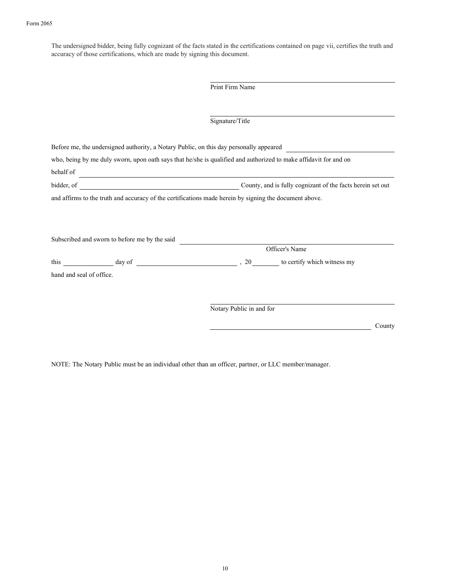The undersigned bidder, being fully cognizant of the facts stated in the certifications contained on page vii, certifies the truth and accuracy of those certifications, which are made by signing this document.

|                          |                                                                                                                      | Print Firm Name                                                                                                  |                                                            |
|--------------------------|----------------------------------------------------------------------------------------------------------------------|------------------------------------------------------------------------------------------------------------------|------------------------------------------------------------|
|                          |                                                                                                                      |                                                                                                                  |                                                            |
|                          |                                                                                                                      | Signature/Title                                                                                                  |                                                            |
|                          |                                                                                                                      | Before me, the undersigned authority, a Notary Public, on this day personally appeared                           |                                                            |
|                          |                                                                                                                      | who, being by me duly sworn, upon oath says that he/she is qualified and authorized to make affidavit for and on |                                                            |
| behalf of                | <u> 1989 - Johann Barn, mars ann an t-Amhain Aonaich an t-Aonaich an t-Aonaich ann an t-Aonaich ann an t-Aonaich</u> |                                                                                                                  |                                                            |
|                          |                                                                                                                      |                                                                                                                  | County, and is fully cognizant of the facts herein set out |
|                          |                                                                                                                      | and affirms to the truth and accuracy of the certifications made herein by signing the document above.           |                                                            |
|                          |                                                                                                                      |                                                                                                                  |                                                            |
|                          |                                                                                                                      |                                                                                                                  |                                                            |
|                          |                                                                                                                      |                                                                                                                  |                                                            |
|                          | Subscribed and sworn to before me by the said                                                                        |                                                                                                                  |                                                            |
|                          |                                                                                                                      |                                                                                                                  | Officer's Name                                             |
|                          |                                                                                                                      |                                                                                                                  |                                                            |
| hand and seal of office. |                                                                                                                      |                                                                                                                  |                                                            |
|                          |                                                                                                                      |                                                                                                                  |                                                            |
|                          |                                                                                                                      |                                                                                                                  |                                                            |
|                          |                                                                                                                      | Notary Public in and for                                                                                         |                                                            |
|                          |                                                                                                                      |                                                                                                                  | County                                                     |
|                          |                                                                                                                      |                                                                                                                  |                                                            |

NOTE: The Notary Public must be an individual other than an officer, partner, or LLC member/manager.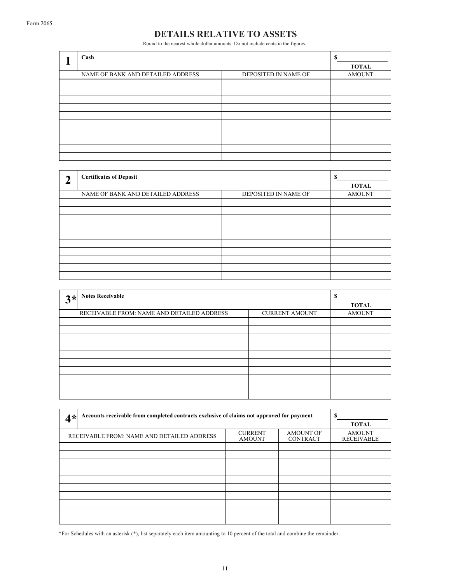# DETAILS RELATIVE TO ASSETS

Round to the nearest whole dollar amounts. Do not include cents in the figures.

| Cash                              | S                    |               |
|-----------------------------------|----------------------|---------------|
|                                   | TOTAL                |               |
| NAME OF BANK AND DETAILED ADDRESS | DEPOSITED IN NAME OF | <b>AMOUNT</b> |
|                                   |                      |               |
|                                   |                      |               |
|                                   |                      |               |
|                                   |                      |               |
|                                   |                      |               |
|                                   |                      |               |
|                                   |                      |               |
|                                   |                      |               |
|                                   |                      |               |
|                                   |                      |               |

| q | <b>Certificates of Deposit</b>    |                      | S<br><b>TOTAL</b> |
|---|-----------------------------------|----------------------|-------------------|
|   | NAME OF BANK AND DETAILED ADDRESS | DEPOSITED IN NAME OF | <b>AMOUNT</b>     |
|   |                                   |                      |                   |
|   |                                   |                      |                   |
|   |                                   |                      |                   |
|   |                                   |                      |                   |
|   |                                   |                      |                   |
|   |                                   |                      |                   |
|   |                                   |                      |                   |
|   |                                   |                      |                   |
|   |                                   |                      |                   |
|   |                                   |                      |                   |

| $3*$ | <b>Notes Receivable</b>                    |                       | \$<br><b>TOTAL</b> |
|------|--------------------------------------------|-----------------------|--------------------|
|      | RECEIVABLE FROM: NAME AND DETAILED ADDRESS | <b>CURRENT AMOUNT</b> | <b>AMOUNT</b>      |
|      |                                            |                       |                    |
|      |                                            |                       |                    |
|      |                                            |                       |                    |
|      |                                            |                       |                    |
|      |                                            |                       |                    |
|      |                                            |                       |                    |
|      |                                            |                       |                    |
|      |                                            |                       |                    |
|      |                                            |                       |                    |
|      |                                            |                       |                    |

| Accounts receivable from completed contracts exclusive of claims not approved for payment<br>$4*$ | S<br><b>TOTAL</b>                  |  |  |  |  |
|---------------------------------------------------------------------------------------------------|------------------------------------|--|--|--|--|
| RECEIVABLE FROM: NAME AND DETAILED ADDRESS                                                        | <b>AMOUNT</b><br><b>RECEIVABLE</b> |  |  |  |  |
|                                                                                                   |                                    |  |  |  |  |
|                                                                                                   |                                    |  |  |  |  |
|                                                                                                   |                                    |  |  |  |  |
|                                                                                                   |                                    |  |  |  |  |
|                                                                                                   |                                    |  |  |  |  |
|                                                                                                   |                                    |  |  |  |  |
|                                                                                                   |                                    |  |  |  |  |

\*For Schedules with an asterisk (\*), list separately each item amounting to 10 percent of the total and combine the remainder.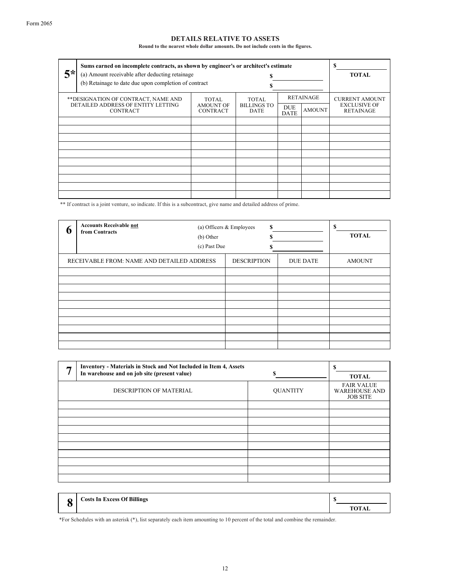### DETAILS RELATIVE TO ASSETS

Round to the nearest whole dollar amounts. Do not include cents in the figures.

| $5*$                                                                                          | Sums earned on incomplete contracts, as shown by engineer's or architect's estimate<br>(a) Amount receivable after deducting retainage<br>(b) Retainage to date due upon completion of contract |                                              |                                     |                           |                                   | S<br><b>TOTAL</b>                                                |
|-----------------------------------------------------------------------------------------------|-------------------------------------------------------------------------------------------------------------------------------------------------------------------------------------------------|----------------------------------------------|-------------------------------------|---------------------------|-----------------------------------|------------------------------------------------------------------|
| ** DESIGNATION OF CONTRACT, NAME AND<br>DETAILED ADDRESS OF ENTITY LETTING<br><b>CONTRACT</b> |                                                                                                                                                                                                 | TOTAL<br><b>AMOUNT OF</b><br><b>CONTRACT</b> | TOTAL<br><b>BILLINGS TO</b><br>DATE | <b>DUE</b><br><b>DATE</b> | <b>RETAINAGE</b><br><b>AMOUNT</b> | <b>CURRENT AMOUNT</b><br><b>EXCLUSIVE OF</b><br><b>RETAINAGE</b> |
|                                                                                               |                                                                                                                                                                                                 |                                              |                                     |                           |                                   |                                                                  |
|                                                                                               |                                                                                                                                                                                                 |                                              |                                     |                           |                                   |                                                                  |
|                                                                                               |                                                                                                                                                                                                 |                                              |                                     |                           |                                   |                                                                  |
|                                                                                               |                                                                                                                                                                                                 |                                              |                                     |                           |                                   |                                                                  |
|                                                                                               |                                                                                                                                                                                                 |                                              |                                     |                           |                                   |                                                                  |
|                                                                                               |                                                                                                                                                                                                 |                                              |                                     |                           |                                   |                                                                  |
|                                                                                               |                                                                                                                                                                                                 |                                              |                                     |                           |                                   |                                                                  |
|                                                                                               |                                                                                                                                                                                                 |                                              |                                     |                           |                                   |                                                                  |

\*\* If contract is a joint venture, so indicate. If this is a subcontract, give name and detailed address of prime.

| b | <b>Accounts Receivable not</b><br>from Contracts | (b) Other<br>(c) Past Due | \$<br>(a) Officers & Employees |                 | \$<br><b>TOTAL</b> |
|---|--------------------------------------------------|---------------------------|--------------------------------|-----------------|--------------------|
|   | RECEIVABLE FROM: NAME AND DETAILED ADDRESS       |                           | <b>DESCRIPTION</b>             | <b>DUE DATE</b> | <b>AMOUNT</b>      |
|   |                                                  |                           |                                |                 |                    |
|   |                                                  |                           |                                |                 |                    |
|   |                                                  |                           |                                |                 |                    |
|   |                                                  |                           |                                |                 |                    |
|   |                                                  |                           |                                |                 |                    |
|   |                                                  |                           |                                |                 |                    |
|   |                                                  |                           |                                |                 |                    |
|   |                                                  |                           |                                |                 |                    |
|   |                                                  |                           |                                |                 |                    |
|   |                                                  |                           |                                |                 |                    |

| г. | <b>Inventory - Materials in Stock and Not Included in Item 4, Assets</b><br>In warehouse and on job site (present value) | \$              | S<br><b>TOTAL</b>                                            |
|----|--------------------------------------------------------------------------------------------------------------------------|-----------------|--------------------------------------------------------------|
|    | <b>DESCRIPTION OF MATERIAL</b>                                                                                           | <b>QUANTITY</b> | <b>FAIR VALUE</b><br><b>WAREHOUSE AND</b><br><b>JOB SITE</b> |
|    |                                                                                                                          |                 |                                                              |
|    |                                                                                                                          |                 |                                                              |
|    |                                                                                                                          |                 |                                                              |
|    |                                                                                                                          |                 |                                                              |
|    |                                                                                                                          |                 |                                                              |
|    |                                                                                                                          |                 |                                                              |
|    |                                                                                                                          |                 |                                                              |
|    |                                                                                                                          |                 |                                                              |
|    |                                                                                                                          |                 |                                                              |
|    |                                                                                                                          |                 |                                                              |

\$  $\bf{8}$   $\rm{Costs}$  In Excess Of Billings  $\rm{S}$   $\rm{DTAL}$ Costs In Excess Of Billings

\*For Schedules with an asterisk (\*), list separately each item amounting to 10 percent of the total and combine the remainder.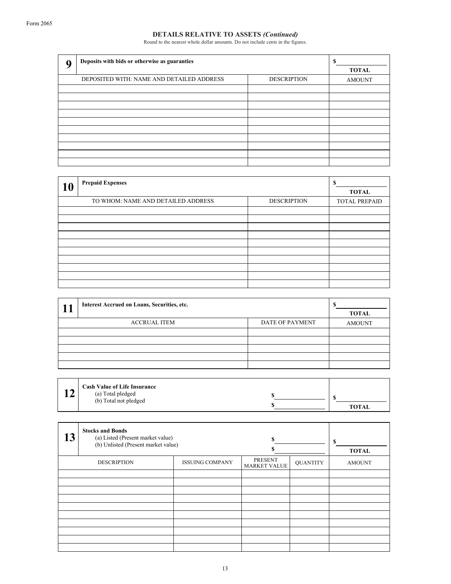Round to the nearest whole dollar amounts. Do not include cents in the figures.

| q | Deposits with bids or otherwise as guaranties | ¢<br>э<br><b>TOTAL</b> |               |
|---|-----------------------------------------------|------------------------|---------------|
|   | DEPOSITED WITH: NAME AND DETAILED ADDRESS     | <b>DESCRIPTION</b>     | <b>AMOUNT</b> |
|   |                                               |                        |               |
|   |                                               |                        |               |
|   |                                               |                        |               |
|   |                                               |                        |               |
|   |                                               |                        |               |
|   |                                               |                        |               |
|   |                                               |                        |               |
|   |                                               |                        |               |
|   |                                               |                        |               |
|   |                                               |                        |               |

| 10 | <b>Prepaid Expenses</b> |  |  |  |  |  |
|----|-------------------------|--|--|--|--|--|
|    | <b>TOTAL PREPAID</b>    |  |  |  |  |  |
|    |                         |  |  |  |  |  |
|    |                         |  |  |  |  |  |
|    |                         |  |  |  |  |  |
|    |                         |  |  |  |  |  |
|    |                         |  |  |  |  |  |
|    |                         |  |  |  |  |  |
|    |                         |  |  |  |  |  |
|    |                         |  |  |  |  |  |
|    |                         |  |  |  |  |  |
|    |                         |  |  |  |  |  |

| Interest Accrued on Loans, Securities, etc. |                        |               |  |  |  |
|---------------------------------------------|------------------------|---------------|--|--|--|
| <b>ACCRUAL ITEM</b>                         | <b>DATE OF PAYMENT</b> | <b>AMOUNT</b> |  |  |  |
|                                             |                        |               |  |  |  |
|                                             |                        |               |  |  |  |
|                                             |                        |               |  |  |  |
|                                             |                        |               |  |  |  |
|                                             |                        |               |  |  |  |

| $\rightarrow$ | <b>Cash Value of Life Insurance</b> |              |
|---------------|-------------------------------------|--------------|
|               | (a) Total pledged                   |              |
|               | (b) Total not pledged               |              |
|               |                                     | <b>TOTAL</b> |

| 13 | <b>Stocks and Bonds</b><br>(a) Listed (Present market value)<br>(b) Unlisted (Present market value) | S                      | S<br><b>TOTAL</b>                     |                 |               |
|----|-----------------------------------------------------------------------------------------------------|------------------------|---------------------------------------|-----------------|---------------|
|    | <b>DESCRIPTION</b>                                                                                  | <b>ISSUING COMPANY</b> | <b>PRESENT</b><br><b>MARKET VALUE</b> | <b>QUANTITY</b> | <b>AMOUNT</b> |
|    |                                                                                                     |                        |                                       |                 |               |
|    |                                                                                                     |                        |                                       |                 |               |
|    |                                                                                                     |                        |                                       |                 |               |
|    |                                                                                                     |                        |                                       |                 |               |
|    |                                                                                                     |                        |                                       |                 |               |
|    |                                                                                                     |                        |                                       |                 |               |
|    |                                                                                                     |                        |                                       |                 |               |
|    |                                                                                                     |                        |                                       |                 |               |
|    |                                                                                                     |                        |                                       |                 |               |
|    |                                                                                                     |                        |                                       |                 |               |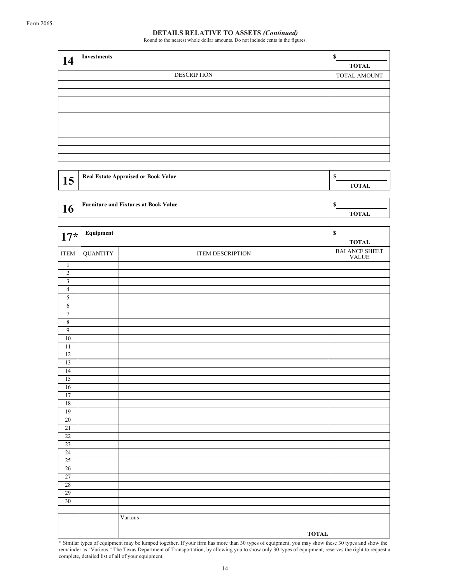Round to the nearest whole dollar amounts. Do not include cents in the figures.

| 14 | <b>Investments</b> | \$<br><b>TOTAL</b> |
|----|--------------------|--------------------|
|    | <b>DESCRIPTION</b> | TOTAL AMOUNT       |
|    |                    |                    |
|    |                    |                    |
|    |                    |                    |
|    |                    |                    |
|    |                    |                    |
|    |                    |                    |
|    |                    |                    |
|    |                    |                    |
|    |                    |                    |
|    |                    |                    |

| 15 <sup>1</sup> | <b>Real Estate Appraised or Book Value</b> |      |
|-----------------|--------------------------------------------|------|
|                 |                                            | 'TAL |
|                 |                                            |      |

| n | <b>Furniture and Fixtures at Book Value</b> |  |    |  |
|---|---------------------------------------------|--|----|--|
|   |                                             |  | AL |  |
|   |                                             |  |    |  |

| $17*$                   | Equipment       |                         | $\mathbb S$         |
|-------------------------|-----------------|-------------------------|---------------------|
|                         |                 |                         | <b>TOTAL</b>        |
| <b>ITEM</b>             | <b>QUANTITY</b> | <b>ITEM DESCRIPTION</b> | BALANCE SHEET VALUE |
| $\overline{1}$          |                 |                         |                     |
| $\overline{2}$          |                 |                         |                     |
| $\overline{\mathbf{3}}$ |                 |                         |                     |
| $\overline{4}$          |                 |                         |                     |
| $\overline{5}$          |                 |                         |                     |
| $\overline{6}$          |                 |                         |                     |
| $\overline{7}$          |                 |                         |                     |
| $\overline{8}$          |                 |                         |                     |
| $\overline{9}$          |                 |                         |                     |
| $\overline{10}$         |                 |                         |                     |
| $\overline{11}$         |                 |                         |                     |
| 12                      |                 |                         |                     |
| $\overline{13}$         |                 |                         |                     |
| 14                      |                 |                         |                     |
| $\overline{15}$         |                 |                         |                     |
| $\overline{16}$<br>17   |                 |                         |                     |
| 18                      |                 |                         |                     |
| 19                      |                 |                         |                     |
| $\overline{20}$         |                 |                         |                     |
| 21                      |                 |                         |                     |
| $\overline{22}$         |                 |                         |                     |
| 23                      |                 |                         |                     |
| $\overline{24}$         |                 |                         |                     |
| 25                      |                 |                         |                     |
| $\overline{26}$         |                 |                         |                     |
| 27                      |                 |                         |                     |
| $\overline{28}$         |                 |                         |                     |
| 29                      |                 |                         |                     |
| $\overline{30}$         |                 |                         |                     |
|                         |                 |                         |                     |
|                         |                 | Various -               |                     |
|                         |                 |                         |                     |
|                         |                 | <b>TOTAL</b>            |                     |

\* Similar types of equipment may be lumped together. If your firm has more than 30 types of equipment, you may show these 30 types and show the remainder as "Various." The Texas Department of Transportation, by allowing you to show only 30 types of equipment, reserves the right to request a complete, detailed list of all of your equipment.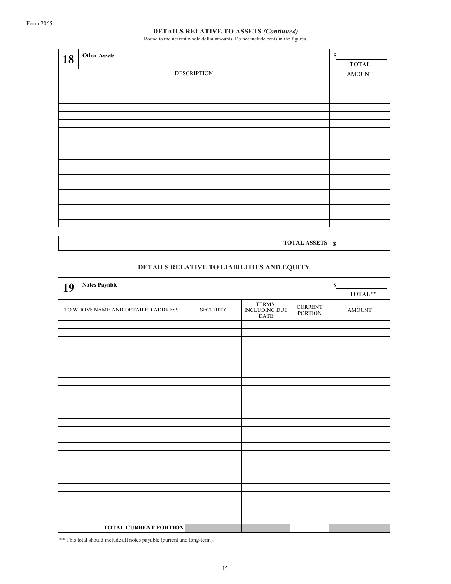Round to the nearest whole dollar amounts. Do not include cents in the figures.

| 18 | <b>Other Assets</b> | $\mathbb S$             |
|----|---------------------|-------------------------|
|    |                     | <b>TOTAL</b>            |
|    | <b>DESCRIPTION</b>  | $\operatorname{AMOUNT}$ |
|    |                     |                         |
|    |                     |                         |
|    |                     |                         |
|    |                     |                         |
|    |                     |                         |
|    |                     |                         |
|    |                     |                         |
|    |                     |                         |
|    |                     |                         |
|    |                     |                         |
|    |                     |                         |
|    |                     |                         |
|    |                     |                         |
|    |                     |                         |
|    |                     |                         |
|    |                     |                         |
|    |                     |                         |
|    |                     |                         |
|    |                     |                         |
|    |                     |                         |

TOTAL ASSETS \$

# DETAILS RELATIVE TO LIABILITIES AND EQUITY

| 19 | <b>Notes Payable</b>                                                                                                                       | $\mathbb S$<br>TOTAL** |  |  |  |  |
|----|--------------------------------------------------------------------------------------------------------------------------------------------|------------------------|--|--|--|--|
|    | $\,$ TERMS, $\,$ INCLUDING DUE<br><b>CURRENT</b><br>TO WHOM: NAME AND DETAILED ADDRESS<br><b>SECURITY</b><br><b>PORTION</b><br><b>DATE</b> |                        |  |  |  |  |
|    |                                                                                                                                            |                        |  |  |  |  |
|    |                                                                                                                                            |                        |  |  |  |  |
|    |                                                                                                                                            |                        |  |  |  |  |
|    |                                                                                                                                            |                        |  |  |  |  |
|    |                                                                                                                                            |                        |  |  |  |  |
|    |                                                                                                                                            |                        |  |  |  |  |
|    |                                                                                                                                            |                        |  |  |  |  |
|    |                                                                                                                                            |                        |  |  |  |  |
|    |                                                                                                                                            |                        |  |  |  |  |
|    |                                                                                                                                            |                        |  |  |  |  |
|    |                                                                                                                                            |                        |  |  |  |  |
|    |                                                                                                                                            |                        |  |  |  |  |
|    |                                                                                                                                            |                        |  |  |  |  |
|    |                                                                                                                                            |                        |  |  |  |  |
|    |                                                                                                                                            |                        |  |  |  |  |
|    |                                                                                                                                            |                        |  |  |  |  |
|    |                                                                                                                                            |                        |  |  |  |  |
|    |                                                                                                                                            |                        |  |  |  |  |
|    |                                                                                                                                            |                        |  |  |  |  |
|    |                                                                                                                                            |                        |  |  |  |  |
|    |                                                                                                                                            |                        |  |  |  |  |
|    |                                                                                                                                            |                        |  |  |  |  |
|    |                                                                                                                                            |                        |  |  |  |  |
|    |                                                                                                                                            |                        |  |  |  |  |
|    | <b>TOTAL CURRENT PORTION</b>                                                                                                               |                        |  |  |  |  |

\*\* This total should include all notes payable (current and long-term).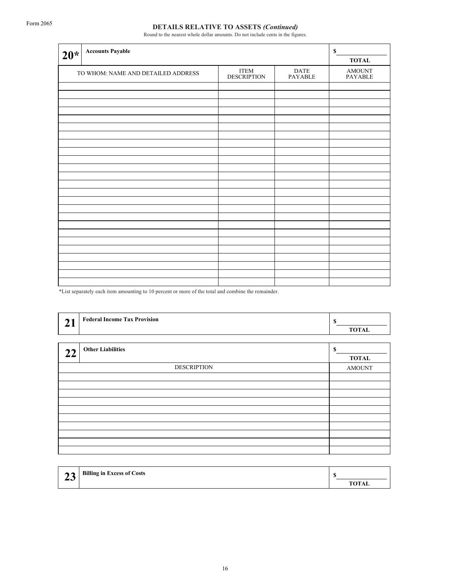Round to the nearest whole dollar amounts. Do not include cents in the figures.

| $20*$ | <b>Accounts Payable</b>                                                                                                                                |  |  | S<br><b>TOTAL</b> |  |
|-------|--------------------------------------------------------------------------------------------------------------------------------------------------------|--|--|-------------------|--|
|       | $\ensuremath{\text{ITEM}}$<br>$\begin{array}{c} \text{DATE} \\ \text{PAYABLE} \end{array}$<br>TO WHOM: NAME AND DETAILED ADDRESS<br><b>DESCRIPTION</b> |  |  |                   |  |
|       |                                                                                                                                                        |  |  |                   |  |
|       |                                                                                                                                                        |  |  |                   |  |
|       |                                                                                                                                                        |  |  |                   |  |
|       |                                                                                                                                                        |  |  |                   |  |
|       |                                                                                                                                                        |  |  |                   |  |
|       |                                                                                                                                                        |  |  |                   |  |
|       |                                                                                                                                                        |  |  |                   |  |
|       |                                                                                                                                                        |  |  |                   |  |
|       |                                                                                                                                                        |  |  |                   |  |
|       |                                                                                                                                                        |  |  |                   |  |
|       |                                                                                                                                                        |  |  |                   |  |
|       |                                                                                                                                                        |  |  |                   |  |
|       |                                                                                                                                                        |  |  |                   |  |
|       |                                                                                                                                                        |  |  |                   |  |
|       |                                                                                                                                                        |  |  |                   |  |
|       |                                                                                                                                                        |  |  |                   |  |
|       |                                                                                                                                                        |  |  |                   |  |
|       |                                                                                                                                                        |  |  |                   |  |
|       |                                                                                                                                                        |  |  |                   |  |
|       |                                                                                                                                                        |  |  |                   |  |
|       |                                                                                                                                                        |  |  |                   |  |
|       |                                                                                                                                                        |  |  |                   |  |
|       |                                                                                                                                                        |  |  |                   |  |

\*List separately each item amounting to 10 percent or more of the total and combine the remainder.

| <b>Federal Income Tax Provision</b><br>21 | S<br><b>TOTAL</b>  |
|-------------------------------------------|--------------------|
| <b>Other Liabilities</b><br>22            | \$<br><b>TOTAL</b> |
| <b>DESCRIPTION</b>                        | <b>AMOUNT</b>      |
|                                           |                    |
|                                           |                    |
|                                           |                    |
|                                           |                    |
|                                           |                    |
|                                           |                    |
|                                           |                    |
|                                           |                    |
|                                           |                    |
|                                           |                    |

| $\mathbf{A}$ | <b>Billing in Excess of Costs</b> |       |
|--------------|-----------------------------------|-------|
| ⊷            |                                   | TOTAL |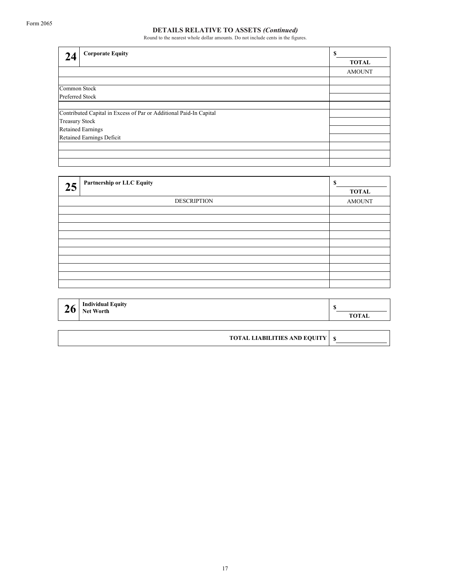Round to the nearest whole dollar amounts. Do not include cents in the figures.

| 24                                                                 | <b>Corporate Equity</b> | \$            |
|--------------------------------------------------------------------|-------------------------|---------------|
|                                                                    |                         | <b>TOTAL</b>  |
|                                                                    |                         | <b>AMOUNT</b> |
|                                                                    |                         |               |
| Common Stock                                                       |                         |               |
| Preferred Stock                                                    |                         |               |
|                                                                    |                         |               |
| Contributed Capital in Excess of Par or Additional Paid-In Capital |                         |               |
| Treasury Stock                                                     |                         |               |
| <b>Retained Earnings</b>                                           |                         |               |
| Retained Earnings Deficit                                          |                         |               |
|                                                                    |                         |               |
|                                                                    |                         |               |
|                                                                    |                         |               |

| 25 | <b>Partnership or LLC Equity</b> | S<br><b>TOTAL</b> |
|----|----------------------------------|-------------------|
|    | <b>DESCRIPTION</b>               |                   |
|    |                                  |                   |
|    |                                  |                   |
|    |                                  |                   |
|    |                                  |                   |
|    |                                  |                   |
|    |                                  |                   |
|    |                                  |                   |
|    |                                  |                   |
|    |                                  |                   |
|    |                                  |                   |

| -0 ' | <b>Individual Equity</b><br><b>Net Worth</b> | <b>TOTA</b><br>!UIAL |
|------|----------------------------------------------|----------------------|
|------|----------------------------------------------|----------------------|

| <b>TOTAL LIABILITIES AND EQUITY   S</b> |  |
|-----------------------------------------|--|
|-----------------------------------------|--|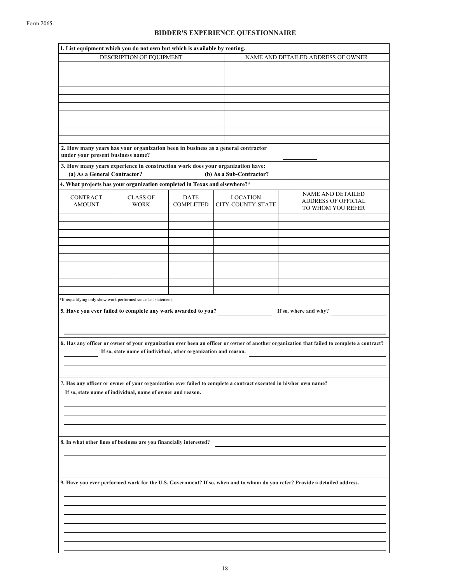### BIDDER'S EXPERIENCE QUESTIONNAIRE

| 1. List equipment which you do not own but which is available by renting. |                                                                                  |                                 |                                    |                                                                                                                   |                                                                                                                                            |  |
|---------------------------------------------------------------------------|----------------------------------------------------------------------------------|---------------------------------|------------------------------------|-------------------------------------------------------------------------------------------------------------------|--------------------------------------------------------------------------------------------------------------------------------------------|--|
| DESCRIPTION OF EQUIPMENT                                                  |                                                                                  |                                 | NAME AND DETAILED ADDRESS OF OWNER |                                                                                                                   |                                                                                                                                            |  |
|                                                                           |                                                                                  |                                 |                                    |                                                                                                                   |                                                                                                                                            |  |
|                                                                           |                                                                                  |                                 |                                    |                                                                                                                   |                                                                                                                                            |  |
|                                                                           |                                                                                  |                                 |                                    |                                                                                                                   |                                                                                                                                            |  |
|                                                                           |                                                                                  |                                 |                                    |                                                                                                                   |                                                                                                                                            |  |
|                                                                           |                                                                                  |                                 |                                    |                                                                                                                   |                                                                                                                                            |  |
|                                                                           |                                                                                  |                                 |                                    |                                                                                                                   |                                                                                                                                            |  |
|                                                                           |                                                                                  |                                 |                                    |                                                                                                                   |                                                                                                                                            |  |
|                                                                           |                                                                                  |                                 |                                    |                                                                                                                   |                                                                                                                                            |  |
|                                                                           |                                                                                  |                                 |                                    |                                                                                                                   |                                                                                                                                            |  |
| under your present business name?                                         | 2. How many years has your organization been in business as a general contractor |                                 |                                    |                                                                                                                   |                                                                                                                                            |  |
| (a) As a General Contractor?                                              | 3. How many years experience in construction work does your organization have:   |                                 |                                    |                                                                                                                   |                                                                                                                                            |  |
|                                                                           |                                                                                  |                                 |                                    | (b) As a Sub-Contractor?                                                                                          |                                                                                                                                            |  |
| 4. What projects has your organization completed in Texas and elsewhere?* |                                                                                  |                                 |                                    |                                                                                                                   |                                                                                                                                            |  |
| <b>CONTRACT</b><br><b>AMOUNT</b>                                          | <b>CLASS OF</b><br><b>WORK</b>                                                   | <b>DATE</b><br><b>COMPLETED</b> |                                    | <b>LOCATION</b><br>CITY-COUNTY-STATE                                                                              | <b>NAME AND DETAILED</b><br><b>ADDRESS OF OFFICIAL</b><br>TO WHOM YOU REFER                                                                |  |
|                                                                           |                                                                                  |                                 |                                    |                                                                                                                   |                                                                                                                                            |  |
|                                                                           |                                                                                  |                                 |                                    |                                                                                                                   |                                                                                                                                            |  |
|                                                                           |                                                                                  |                                 |                                    |                                                                                                                   |                                                                                                                                            |  |
|                                                                           |                                                                                  |                                 |                                    |                                                                                                                   |                                                                                                                                            |  |
|                                                                           |                                                                                  |                                 |                                    |                                                                                                                   |                                                                                                                                            |  |
|                                                                           |                                                                                  |                                 |                                    |                                                                                                                   |                                                                                                                                            |  |
|                                                                           |                                                                                  |                                 |                                    |                                                                                                                   |                                                                                                                                            |  |
|                                                                           |                                                                                  |                                 |                                    |                                                                                                                   |                                                                                                                                            |  |
|                                                                           |                                                                                  |                                 |                                    |                                                                                                                   |                                                                                                                                            |  |
|                                                                           | *If requalifying only show work performed since last statement.                  |                                 |                                    |                                                                                                                   |                                                                                                                                            |  |
|                                                                           | 5. Have you ever failed to complete any work awarded to you?                     |                                 |                                    |                                                                                                                   | If so, where and why?                                                                                                                      |  |
|                                                                           | If so, state name of individual, other organization and reason.                  |                                 |                                    |                                                                                                                   | 6. Has any officer or owner of your organization ever been an officer or owner of another organization that failed to complete a contract? |  |
|                                                                           | If so, state name of individual, name of owner and reason.                       |                                 |                                    | 7. Has any officer or owner of your organization ever failed to complete a contract executed in his/her own name? |                                                                                                                                            |  |
|                                                                           |                                                                                  |                                 |                                    |                                                                                                                   |                                                                                                                                            |  |
|                                                                           |                                                                                  |                                 |                                    |                                                                                                                   |                                                                                                                                            |  |
|                                                                           | 8. In what other lines of business are you financially interested?               |                                 |                                    |                                                                                                                   |                                                                                                                                            |  |
|                                                                           |                                                                                  |                                 |                                    |                                                                                                                   |                                                                                                                                            |  |
|                                                                           |                                                                                  |                                 |                                    |                                                                                                                   |                                                                                                                                            |  |
|                                                                           |                                                                                  |                                 |                                    |                                                                                                                   |                                                                                                                                            |  |
|                                                                           |                                                                                  |                                 |                                    |                                                                                                                   |                                                                                                                                            |  |
|                                                                           |                                                                                  |                                 |                                    |                                                                                                                   | 9. Have you ever performed work for the U.S. Government? If so, when and to whom do you refer? Provide a detailed address.                 |  |
|                                                                           |                                                                                  |                                 |                                    |                                                                                                                   |                                                                                                                                            |  |
|                                                                           |                                                                                  |                                 |                                    |                                                                                                                   |                                                                                                                                            |  |
|                                                                           |                                                                                  |                                 |                                    |                                                                                                                   |                                                                                                                                            |  |
|                                                                           |                                                                                  |                                 |                                    |                                                                                                                   |                                                                                                                                            |  |
|                                                                           |                                                                                  |                                 |                                    |                                                                                                                   |                                                                                                                                            |  |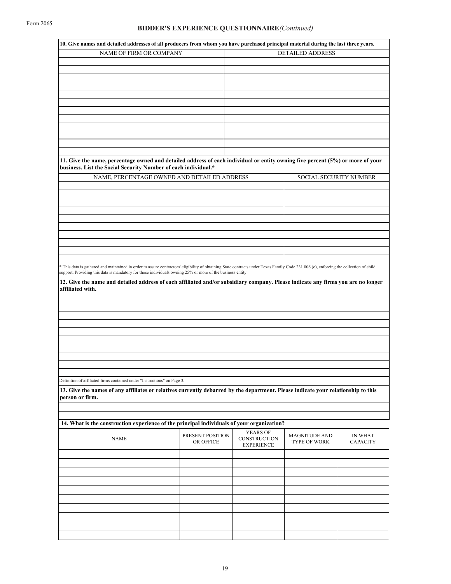| 10. Give names and detailed addresses of all producers from whom you have purchased principal material during the last three years.                                                              |                               |                                                             |                                      |                                   |
|--------------------------------------------------------------------------------------------------------------------------------------------------------------------------------------------------|-------------------------------|-------------------------------------------------------------|--------------------------------------|-----------------------------------|
| NAME OF FIRM OR COMPANY                                                                                                                                                                          |                               |                                                             | <b>DETAILED ADDRESS</b>              |                                   |
|                                                                                                                                                                                                  |                               |                                                             |                                      |                                   |
|                                                                                                                                                                                                  |                               |                                                             |                                      |                                   |
|                                                                                                                                                                                                  |                               |                                                             |                                      |                                   |
|                                                                                                                                                                                                  |                               |                                                             |                                      |                                   |
|                                                                                                                                                                                                  |                               |                                                             |                                      |                                   |
|                                                                                                                                                                                                  |                               |                                                             |                                      |                                   |
|                                                                                                                                                                                                  |                               |                                                             |                                      |                                   |
|                                                                                                                                                                                                  |                               |                                                             |                                      |                                   |
|                                                                                                                                                                                                  |                               |                                                             |                                      |                                   |
|                                                                                                                                                                                                  |                               |                                                             |                                      |                                   |
| 11. Give the name, percentage owned and detailed address of each individual or entity owning five percent (5%) or more of your<br>business. List the Social Security Number of each individual.* |                               |                                                             |                                      |                                   |
| NAME, PERCENTAGE OWNED AND DETAILED ADDRESS                                                                                                                                                      |                               |                                                             | SOCIAL SECURITY NUMBER               |                                   |
|                                                                                                                                                                                                  |                               |                                                             |                                      |                                   |
|                                                                                                                                                                                                  |                               |                                                             |                                      |                                   |
|                                                                                                                                                                                                  |                               |                                                             |                                      |                                   |
|                                                                                                                                                                                                  |                               |                                                             |                                      |                                   |
|                                                                                                                                                                                                  |                               |                                                             |                                      |                                   |
|                                                                                                                                                                                                  |                               |                                                             |                                      |                                   |
|                                                                                                                                                                                                  |                               |                                                             |                                      |                                   |
|                                                                                                                                                                                                  |                               |                                                             |                                      |                                   |
| * This data is gathered and maintained in order to assure contractors' eligibility of obtaining State contracts under Texas Family Code 231.006 (c), enforcing the collection of child           |                               |                                                             |                                      |                                   |
| support. Providing this data is mandatory for those individuals owning 25% or more of the business entity.                                                                                       |                               |                                                             |                                      |                                   |
| 12. Give the name and detailed address of each affiliated and/or subsidiary company. Please indicate any firms you are no longer                                                                 |                               |                                                             |                                      |                                   |
| affiliated with.                                                                                                                                                                                 |                               |                                                             |                                      |                                   |
|                                                                                                                                                                                                  |                               |                                                             |                                      |                                   |
|                                                                                                                                                                                                  |                               |                                                             |                                      |                                   |
|                                                                                                                                                                                                  |                               |                                                             |                                      |                                   |
|                                                                                                                                                                                                  |                               |                                                             |                                      |                                   |
|                                                                                                                                                                                                  |                               |                                                             |                                      |                                   |
|                                                                                                                                                                                                  |                               |                                                             |                                      |                                   |
|                                                                                                                                                                                                  |                               |                                                             |                                      |                                   |
|                                                                                                                                                                                                  |                               |                                                             |                                      |                                   |
| Definition of affiliated firms contained under "Instructions" on Page 3.                                                                                                                         |                               |                                                             |                                      |                                   |
| 13. Give the names of any affiliates or relatives currently debarred by the department. Please indicate your relationship to this                                                                |                               |                                                             |                                      |                                   |
| person or firm.                                                                                                                                                                                  |                               |                                                             |                                      |                                   |
|                                                                                                                                                                                                  |                               |                                                             |                                      |                                   |
|                                                                                                                                                                                                  |                               |                                                             |                                      |                                   |
| 14. What is the construction experience of the principal individuals of your organization?                                                                                                       |                               |                                                             |                                      |                                   |
| <b>NAME</b>                                                                                                                                                                                      | PRESENT POSITION<br>OR OFFICE | <b>YEARS OF</b><br><b>CONSTRUCTION</b><br><b>EXPERIENCE</b> | <b>MAGNITUDE AND</b><br>TYPE OF WORK | <b>IN WHAT</b><br><b>CAPACITY</b> |
|                                                                                                                                                                                                  |                               |                                                             |                                      |                                   |
|                                                                                                                                                                                                  |                               |                                                             |                                      |                                   |
|                                                                                                                                                                                                  |                               |                                                             |                                      |                                   |
|                                                                                                                                                                                                  |                               |                                                             |                                      |                                   |
|                                                                                                                                                                                                  |                               |                                                             |                                      |                                   |
|                                                                                                                                                                                                  |                               |                                                             |                                      |                                   |
|                                                                                                                                                                                                  |                               |                                                             |                                      |                                   |
|                                                                                                                                                                                                  |                               |                                                             |                                      |                                   |
|                                                                                                                                                                                                  |                               |                                                             |                                      |                                   |
|                                                                                                                                                                                                  |                               |                                                             |                                      |                                   |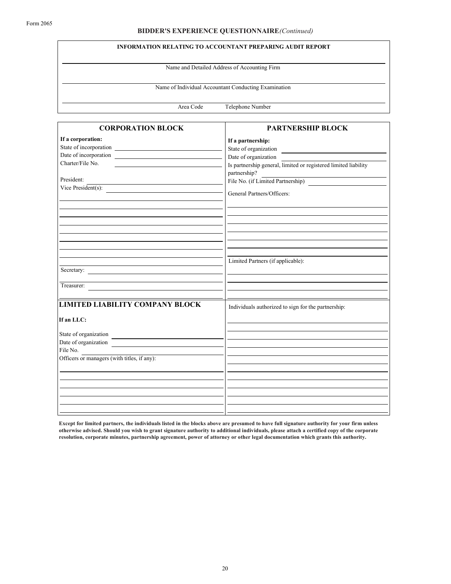### BIDDER'S EXPERIENCE QUESTIONNAIRE(Continued)

#### INFORMATION RELATING TO ACCOUNTANT PREPARING AUDIT REPORT

Name and Detailed Address of Accounting Firm

Name of Individual Accountant Conducting Examination

Area Code Telephone Number

| <b>CORPORATION BLOCK</b>                                                                       | <b>PARTNERSHIP BLOCK</b>                                        |
|------------------------------------------------------------------------------------------------|-----------------------------------------------------------------|
| If a corporation:                                                                              | If a partnership:                                               |
|                                                                                                | State of organization                                           |
| Date of incorporation                                                                          | Date of organization                                            |
| Charter/File No.<br>the control of the control of the control of the control of the control of | Is partnership general, limited or registered limited liability |
|                                                                                                | partnership?                                                    |
| President:                                                                                     | File No. (if Limited Partnership)                               |
| Vice President(s):                                                                             |                                                                 |
|                                                                                                | General Partners/Officers:                                      |
|                                                                                                |                                                                 |
|                                                                                                |                                                                 |
|                                                                                                |                                                                 |
|                                                                                                |                                                                 |
|                                                                                                | Limited Partners (if applicable):                               |
| Secretary:                                                                                     |                                                                 |
| Treasurer:                                                                                     |                                                                 |
|                                                                                                |                                                                 |
| <b>LIMITED LIABILITY COMPANY BLOCK</b>                                                         | Individuals authorized to sign for the partnership:             |
| If an LLC:                                                                                     |                                                                 |
| State of organization                                                                          |                                                                 |
| Date of organization                                                                           |                                                                 |
| File No.                                                                                       |                                                                 |
| Officers or managers (with titles, if any):                                                    |                                                                 |
|                                                                                                |                                                                 |
|                                                                                                |                                                                 |
|                                                                                                |                                                                 |
|                                                                                                |                                                                 |
|                                                                                                |                                                                 |
|                                                                                                |                                                                 |
|                                                                                                |                                                                 |

Except for limited partners, the individuals listed in the blocks above are presumed to have full signature authority for your firm unless otherwise advised. Should you wish to grant signature authority to additional individuals, please attach a certified copy of the corporate resolution, corporate minutes, partnership agreement, power of attorney or other legal documentation which grants this authority.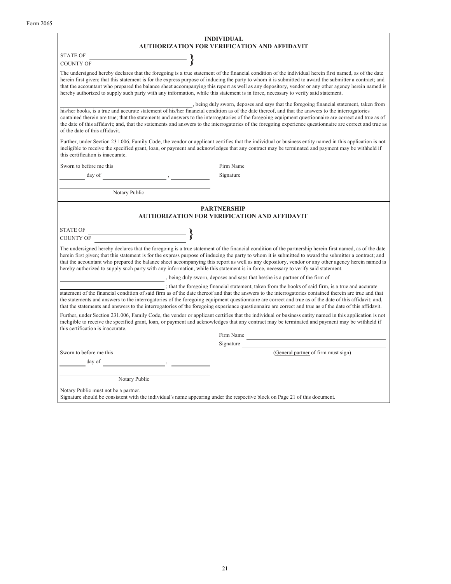|                                                      | <b>INDIVIDUAL</b><br><b>AUTHORIZATION FOR VERIFICATION AND AFFIDAVIT</b>                                                                                                                                                                                                                                                                                                                                                                                                                                                                                                                                      |
|------------------------------------------------------|---------------------------------------------------------------------------------------------------------------------------------------------------------------------------------------------------------------------------------------------------------------------------------------------------------------------------------------------------------------------------------------------------------------------------------------------------------------------------------------------------------------------------------------------------------------------------------------------------------------|
| <b>STATE OF</b>                                      |                                                                                                                                                                                                                                                                                                                                                                                                                                                                                                                                                                                                               |
| $\qquad \qquad \longrightarrow$<br><b>COUNTY OF</b>  |                                                                                                                                                                                                                                                                                                                                                                                                                                                                                                                                                                                                               |
|                                                      | The undersigned hereby declares that the foregoing is a true statement of the financial condition of the individual herein first named, as of the date<br>herein first given; that this statement is for the express purpose of inducing the party to whom it is submitted to award the submitter a contract; and<br>that the accountant who prepared the balance sheet accompanying this report as well as any depository, vendor or any other agency herein named is<br>hereby authorized to supply such party with any information, while this statement is in force, necessary to verify said statement.  |
| of the date of this affidavit.                       | , being duly sworn, deposes and says that the foregoing financial statement, taken from<br>his/her books, is a true and accurate statement of his/her financial condition as of the date thereof, and that the answers to the interrogatories<br>contained therein are true; that the statements and answers to the interrogatories of the foregoing equipment questionnaire are correct and true as of<br>the date of this affidavit; and, that the statements and answers to the interrogatories of the foregoing experience questionnaire are correct and true as                                          |
| this certification is inaccurate.                    | Further, under Section 231.006, Family Code, the vendor or applicant certifies that the individual or business entity named in this application is not<br>ineligible to receive the specified grant, loan, or payment and acknowledges that any contract may be terminated and payment may be withheld if                                                                                                                                                                                                                                                                                                     |
| Sworn to before me this                              |                                                                                                                                                                                                                                                                                                                                                                                                                                                                                                                                                                                                               |
| day of                                               | Signature                                                                                                                                                                                                                                                                                                                                                                                                                                                                                                                                                                                                     |
|                                                      |                                                                                                                                                                                                                                                                                                                                                                                                                                                                                                                                                                                                               |
| Notary Public                                        |                                                                                                                                                                                                                                                                                                                                                                                                                                                                                                                                                                                                               |
|                                                      | <b>PARTNERSHIP</b><br><b>AUTHORIZATION FOR VERIFICATION AND AFFIDAVIT</b>                                                                                                                                                                                                                                                                                                                                                                                                                                                                                                                                     |
| <b>STATE OF</b>                                      |                                                                                                                                                                                                                                                                                                                                                                                                                                                                                                                                                                                                               |
| $\overbrace{\hspace{2.5cm}}^{2}$<br><b>COUNTY OF</b> |                                                                                                                                                                                                                                                                                                                                                                                                                                                                                                                                                                                                               |
|                                                      | The undersigned hereby declares that the foregoing is a true statement of the financial condition of the partnership herein first named, as of the date<br>herein first given; that this statement is for the express purpose of inducing the party to whom it is submitted to award the submitter a contract; and<br>that the accountant who prepared the balance sheet accompanying this report as well as any depository, vendor or any other agency herein named is<br>hereby authorized to supply such party with any information, while this statement is in force, necessary to verify said statement. |
|                                                      | , being duly sworn, deposes and says that he/she is a partner of the firm of                                                                                                                                                                                                                                                                                                                                                                                                                                                                                                                                  |
|                                                      | ; that the foregoing financial statement, taken from the books of said firm, is a true and accurate<br>statement of the financial condition of said firm as of the date thereof and that the answers to the interrogatories contained therein are true and that<br>the statements and answers to the interrogatories of the foregoing equipment questionnaire are correct and true as of the date of this affidavit; and,<br>that the statements and answers to the interrogatories of the foregoing experience questionnaire are correct and true as of the date of this affidavit.                          |
| this certification is inaccurate.                    | Further, under Section 231.006, Family Code, the vendor or applicant certifies that the individual or business entity named in this application is not<br>ineligible to receive the specified grant, loan, or payment and acknowledges that any contract may be terminated and payment may be withheld if                                                                                                                                                                                                                                                                                                     |
|                                                      | Firm Name                                                                                                                                                                                                                                                                                                                                                                                                                                                                                                                                                                                                     |
|                                                      | Signature (General partner of firm must sign)                                                                                                                                                                                                                                                                                                                                                                                                                                                                                                                                                                 |
| Sworn to before me this                              |                                                                                                                                                                                                                                                                                                                                                                                                                                                                                                                                                                                                               |
| day of                                               |                                                                                                                                                                                                                                                                                                                                                                                                                                                                                                                                                                                                               |
|                                                      |                                                                                                                                                                                                                                                                                                                                                                                                                                                                                                                                                                                                               |
| Notary Public                                        |                                                                                                                                                                                                                                                                                                                                                                                                                                                                                                                                                                                                               |
| Notary Public must not be a partner.                 |                                                                                                                                                                                                                                                                                                                                                                                                                                                                                                                                                                                                               |

Signature should be consistent with the individual's name appearing under the respective block on Page 21 of this document.